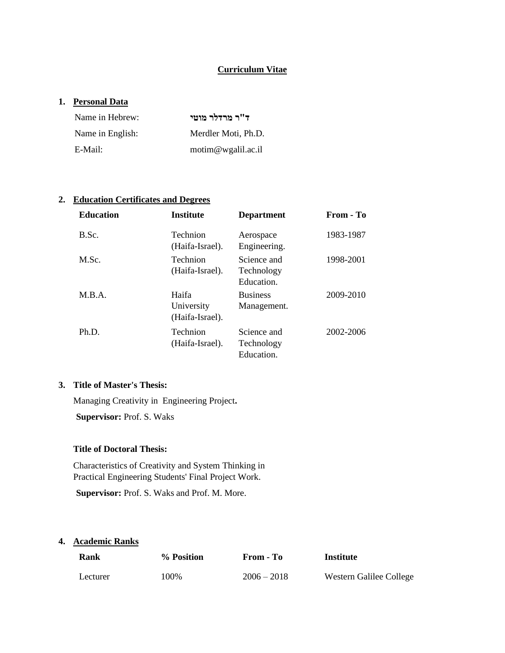#### **Curriculum Vitae**

#### **1. Personal Data**

| Name in Hebrew:  | ד"ר מרדלר מוטי      |
|------------------|---------------------|
| Name in English: | Merdler Moti, Ph.D. |
| E-Mail:          | motim@wgalil.ac.il  |

### **2. Education Certificates and Degrees**

| <b>Education</b> | <b>Institute</b>                       | <b>Department</b>                       | From - To |
|------------------|----------------------------------------|-----------------------------------------|-----------|
| B.Sc.            | <b>Technion</b><br>(Haifa-Israel).     | Aerospace<br>Engineering.               | 1983-1987 |
| M.Sc.            | <b>Technion</b><br>(Haifa-Israel).     | Science and<br>Technology<br>Education. | 1998-2001 |
| M.B.A.           | Haifa<br>University<br>(Haifa-Israel). | <b>Business</b><br>Management.          | 2009-2010 |
| Ph.D.            | Technion<br>(Haifa-Israel).            | Science and<br>Technology<br>Education. | 2002-2006 |

# **3. Title of Master's Thesis:**

Managing Creativity in Engineering Project**.** 

**Supervisor:** Prof. S. Waks

# **Title of Doctoral Thesis:**

Characteristics of Creativity and System Thinking in Practical Engineering Students' Final Project Work.

**Supervisor:** Prof. S. Waks and Prof. M. More.

#### **4. Academic Ranks**

| Rank     | % Position | From - To     | Institute               |
|----------|------------|---------------|-------------------------|
| Lecturer | 100%       | $2006 - 2018$ | Western Galilee College |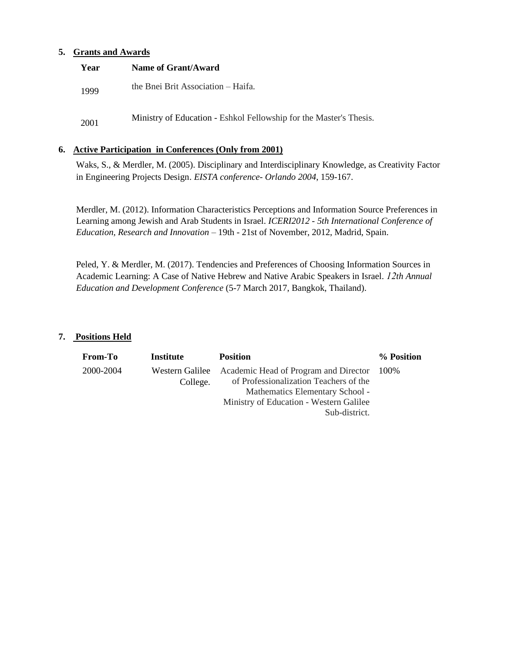#### **5. Grants and Awards**

| Year | Name of Grant/Award                                                |
|------|--------------------------------------------------------------------|
| 1999 | the Bnei Brit Association – Haifa.                                 |
| 2001 | Ministry of Education - Eshkol Fellowship for the Master's Thesis. |

#### **6. Active Participation in Conferences (Only from 2001)**

Waks, S., & Merdler, M. (2005). Disciplinary and Interdisciplinary Knowledge, as Creativity Factor in Engineering Projects Design. *EISTA conference- Orlando 2004*, 159-167.

Merdler, M. (2012). Information Characteristics Perceptions and Information Source Preferences in Learning among Jewish and Arab Students in Israel. *ICERI2012 - 5th International Conference of Education, Research and Innovation* – 19th - 21st of November, 2012, Madrid, Spain.

Peled, Y. & Merdler, M. (2017). Tendencies and Preferences of Choosing Information Sources in Academic Learning: A Case of Native Hebrew and Native Arabic Speakers in Israel. *12th Annual Education and Development Conference* (5-7 March 2017, Bangkok, Thailand).

#### **7. Positions Held**

| <b>From-To</b> | Institute                   | <b>Position</b>                                                                                                                                                                     | % Position |
|----------------|-----------------------------|-------------------------------------------------------------------------------------------------------------------------------------------------------------------------------------|------------|
| 2000-2004      | Western Galilee<br>College. | Academic Head of Program and Director 100%<br>of Professionalization Teachers of the<br>Mathematics Elementary School -<br>Ministry of Education - Western Galilee<br>Sub-district. |            |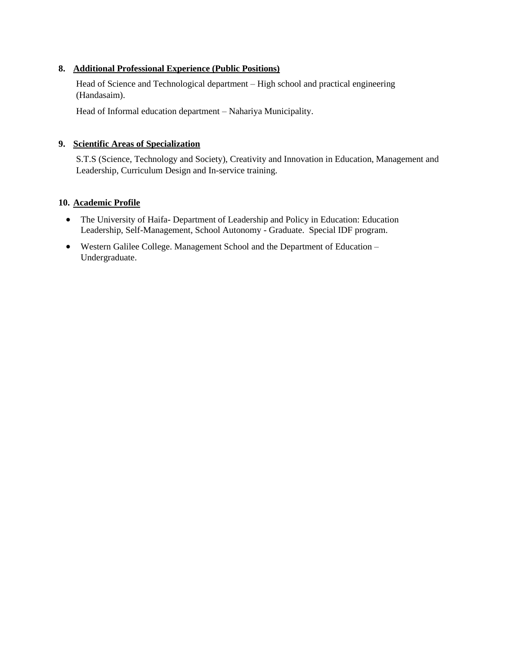# **8. Additional Professional Experience (Public Positions)**

Head of Science and Technological department – High school and practical engineering (Handasaim).

Head of Informal education department – Nahariya Municipality.

### **9. Scientific Areas of Specialization**

S.T.S (Science, Technology and Society), Creativity and Innovation in Education, Management and Leadership, Curriculum Design and In-service training.

### **10. Academic Profile**

- The University of Haifa- Department of Leadership and Policy in Education: Education Leadership, Self-Management, School Autonomy - Graduate. Special IDF program.
- Western Galilee College. Management School and the Department of Education Undergraduate.